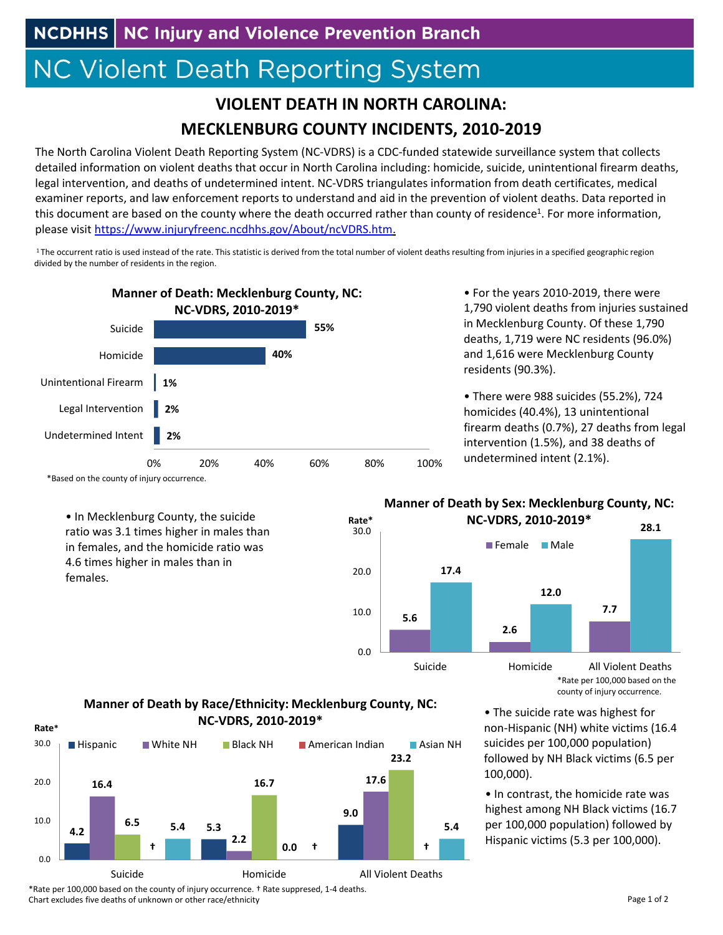## **NC Violent Death Reporting System**

## **VIOLENT DEATH IN NORTH CAROLINA: MECKLENBURG COUNTY INCIDENTS, 2010‐2019**

The North Carolina Violent Death Reporting System (NC‐VDRS) is a CDC‐funded statewide surveillance system that collects detailed information on violent deaths that occur in North Carolina including: homicide, suicide, unintentional firearm deaths, legal intervention, and deaths of undetermined intent. NC‐VDRS triangulates information from death certificates, medical examiner reports, and law enforcement reports to understand and aid in the prevention of violent deaths. Data reported in this document are based on the county where the death occurred rather than county of residence<sup>1</sup>. For more information, please visit https://www.injuryfreenc.ncdhhs.gov/About/ncVDRS.htm.

<sup>1</sup>The occurrent ratio is used instead of the rate. This statistic is derived from the total number of violent deaths resulting from injuries in a specified geographic region divided by the number of residents in the region.



• For the years 2010‐2019, there were 1,790 violent deaths from injuries sustained in Mecklenburg County. Of these 1,790 deaths, 1,719 were NC residents (96.0%) and 1,616 were Mecklenburg County residents (90.3%).

• There were 988 suicides (55.2%), 724 homicides (40.4%), 13 unintentional firearm deaths (0.7%), 27 deaths from legal intervention (1.5%), and 38 deaths of undetermined intent (2.1%).

\*Based on the county of injury occurrence.

**Rate\***

• In Mecklenburg County, the suicide ratio was 3.1 times higher in males than in females, and the homicide ratio was 4.6 times higher in males than in females.

## **Manner of Death by Sex: Mecklenburg County, NC: NC‐VDRS, 2010‐2019\***



county of injury occurrence.

• The suicide rate was highest for non‐Hispanic (NH) white victims (16.4 suicides per 100,000 population) followed by NH Black victims (6.5 per 100,000).

• In contrast, the homicide rate was highest among NH Black victims (16.7 per 100,000 population) followed by Hispanic victims (5.3 per 100,000).





\*Rate per 100,000 based on the county of injury occurrence. † Rate suppresed, 1‐4 deaths. Chart excludes five deaths of unknown or other race/ethnicity